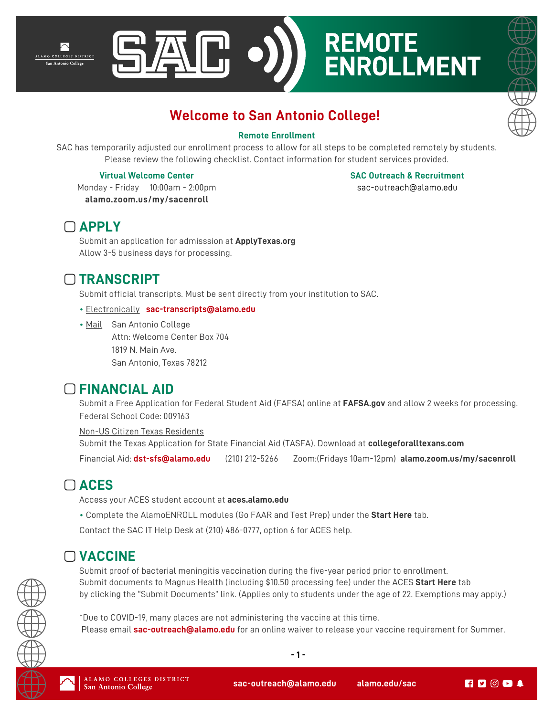





## **Welcome to San Antonio College!**

#### **Remote Enrollment**

SAC has temporarily adjusted our enrollment process to allow for all steps to be completed remotely by students. Please review the following checklist. Contact information for student services provided.

#### **Virtual Welcome Center**

**SAC Outreach & Recruitment**

Monday - Friday 10:00am - 2:00pm **[alamo.zoom.us/my/sacenroll](https://alamo.zoom.us/my/sacenroll)** 

sac-outreach@alamo.edu

#### **APPLY**

Submit an application for admisssion at **[ApplyTexas.org](https://www.applytexas.org/)** Allow 3-5 business days for processing.

## **TRANSCRIPT**

Submit official transcripts. Must be sent directly from your institution to SAC.

#### • Electronically **sac-transcripts@alamo.edu**

• Mail San Antonio College Attn: Welcome Center Box 704 1819 N. Main Ave. San Antonio, Texas 78212

## **FINANCIAL AID**

Submit a Free Application for Federal Student Aid (FAFSA) online at **[FAFSA.gov](https://studentaid.gov/h/apply-for-aid/fafsa)** and allow 2 weeks for processing. Federal School Code: 009163

Non-US Citizen Texas Residents Submit the Texas Application for State Financial Aid (TASFA). Download at **[collegeforalltexans.com](http://www.collegeforalltexans.com/index.cfm?objectid=A3119543-CBF8-C202-F1B0EEFD5F4B9805)** Financial Aid: **dst-sfs@alamo.edu** (210) 212-5266 Zoom:(Fridays 10am-12pm) **[alamo.zoom.us/my/sacenroll](https://alamo.zoom.us/my/sacenroll)**

## **ACES**

Access your ACES student account at **[aces.alamo.edu](https://aces.alamo.edu/)**

• Complete the AlamoENROLL modules (Go FAAR and Test Prep) under the **Start Here** tab.

Contact the SAC IT Help Desk at (210) 486-0777, option 6 for ACES help.

# **VACCINE**

Submit proof of bacterial meningitis vaccination during the five-year period prior to enrollment. Submit documents to Magnus Health (including \$10.50 processing fee) under the ACES **Start Here** tab by clicking the "Submit Documents" link. (Applies only to students under the age of 22. Exemptions may apply.)

\*Due to COVID-19, many places are not administering the vaccine at this time. Please email **sac-outreach@alamo.edu** for an online waiver to release your vaccine requirement for Summer.

**- 1 -**